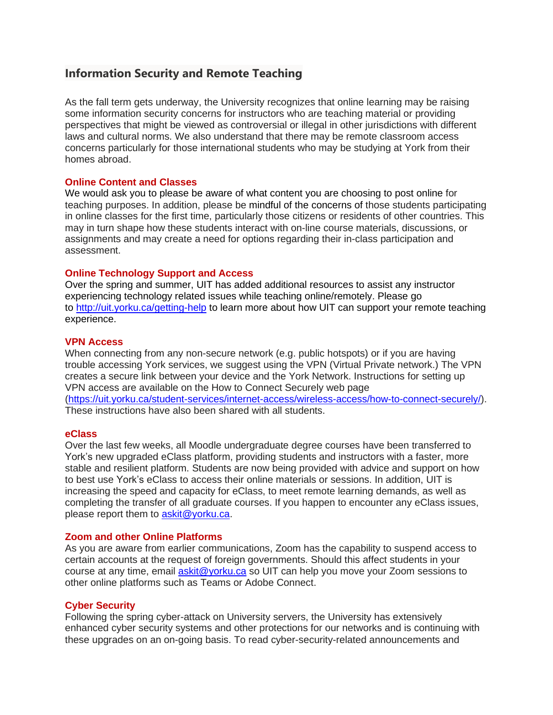# **Information Security and Remote Teaching**

As the fall term gets underway, the University recognizes that online learning may be raising some information security concerns for instructors who are teaching material or providing perspectives that might be viewed as controversial or illegal in other jurisdictions with different laws and cultural norms. We also understand that there may be remote classroom access concerns particularly for those international students who may be studying at York from their homes abroad.

## **Online Content and Classes**

We would ask you to please be aware of what content you are choosing to post online for teaching purposes. In addition, please be mindful of the concerns of those students participating in online classes for the first time, particularly those citizens or residents of other countries. This may in turn shape how these students interact with on-line course materials, discussions, or assignments and may create a need for options regarding their in-class participation and assessment.

## **Online Technology Support and Access**

Over the spring and summer, UIT has added additional resources to assist any instructor experiencing technology related issues while teaching online/remotely. Please go to <http://uit.yorku.ca/getting-help> to learn more about how UIT can support your remote teaching experience.

#### **VPN Access**

When connecting from any non-secure network (e.g. public hotspots) or if you are having trouble accessing York services, we suggest using the VPN (Virtual Private network.) The VPN creates a secure link between your device and the York Network. Instructions for setting up VPN access are available on the How to Connect Securely web page [\(https://uit.yorku.ca/student-services/internet-access/wireless-access/how-to-connect-securely/\)](https://uit.yorku.ca/student-services/internet-access/wireless-access/how-to-connect-securely/). These instructions have also been shared with all students.

#### **eClass**

Over the last few weeks, all Moodle undergraduate degree courses have been transferred to York's new upgraded eClass platform, providing students and instructors with a faster, more stable and resilient platform. Students are now being provided with advice and support on how to best use York's eClass to access their online materials or sessions. In addition, UIT is increasing the speed and capacity for eClass, to meet remote learning demands, as well as completing the transfer of all graduate courses. If you happen to encounter any eClass issues, please report them to [askit@yorku.ca.](mailto:askit@yorku.ca)

#### **Zoom and other Online Platforms**

As you are aware from earlier communications, Zoom has the capability to suspend access to certain accounts at the request of foreign governments. Should this affect students in your course at any time, email [askit@yorku.ca](mailto:askit@yorku.ca) so UIT can help you move your Zoom sessions to other online platforms such as Teams or Adobe Connect.

#### **Cyber Security**

Following the spring cyber-attack on University servers, the University has extensively enhanced cyber security systems and other protections for our networks and is continuing with these upgrades on an on-going basis. To read cyber-security-related announcements and